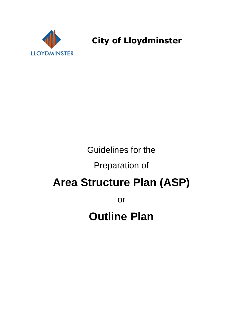

**City of Lloydminster** 

# Guidelines for the

# Preparation of

# **Area Structure Plan (ASP)**

or

# **Outline Plan**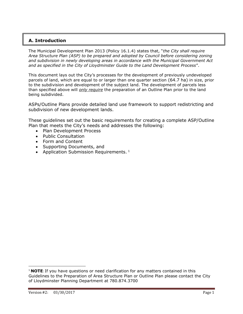# **A. Introduction**

The Municipal Development Plan 2013 (Policy 16.1.4) states that, "*the City shall require Area Structure Plan (ASP) to be prepared and adopted by Council before considering zoning and subdivision in newly developing areas in accordance with the Municipal Government Act and as specified in the City of Lloydminster Guide to the Land Development Process*".

This document lays out the City's processes for the development of previously undeveloped parcels of land, which are equal to or larger than one quarter section (64.7 ha) in size, prior to the subdivision and development of the subject land. The development of parcels less than specified above will *only require* the preparation of an Outline Plan prior to the land being subdivided.

ASPs/Outline Plans provide detailed land use framework to support redistricting and subdivision of new development lands.

These guidelines set out the basic requirements for creating a complete ASP/Outline Plan that meets the City's needs and addresses the following:

- Plan Development Process
- Public Consultation
- Form and Content
- Supporting Documents, and
- Application Submission Requirements.  $1$

l

<sup>1</sup> **NOTE**: If you have questions or need clarification for any matters contained in this Guidelines to the Preparation of Area Structure Plan or Outline Plan please contact the City of Lloydminster Planning Department at 780.874.3700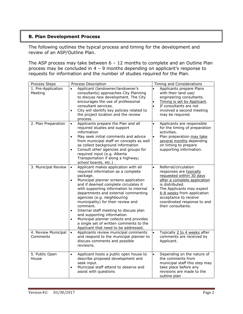# **B. Plan Development Process**

The following outlines the typical process and timing for the development and review of an ASP/Outline Plan.

The ASP process may take between 6 – 12 months to complete and an Outline Plan process may be concluded in 4 – 9 months depending on applicant's response to requests for information and the number of studies required for the Plan.

| Process Steps                   | Process Description                                                                                                                                                                                                                                                                                                                                                                                                                                                                                                                                                                                   |                                     | Timing and Considerations                                                                                                                                                                                                                                               |
|---------------------------------|-------------------------------------------------------------------------------------------------------------------------------------------------------------------------------------------------------------------------------------------------------------------------------------------------------------------------------------------------------------------------------------------------------------------------------------------------------------------------------------------------------------------------------------------------------------------------------------------------------|-------------------------------------|-------------------------------------------------------------------------------------------------------------------------------------------------------------------------------------------------------------------------------------------------------------------------|
| 1. Pre-Application<br>Meeting   | Applicant (landowner/landowner's<br>$\bullet$<br>consultants) approaches City Planning<br>to discuss new development. The City<br>encourages the use of professional<br>consultant services.<br>City will identify key policies related to<br>$\bullet$<br>the project location and the review<br>process.                                                                                                                                                                                                                                                                                            | $\bullet$<br>$\bullet$<br>$\bullet$ | Applicants prepare Plans<br>with their land use/<br>engineering consultants.<br>Timing is set by Applicant.<br>If consultants are not<br>involved a second meeting<br>may be required.                                                                                  |
| 2. Plan Preparation             | Applicants prepare the Plan and all<br>$\bullet$<br>required studies and support<br>information<br>May seek initial comments and advice<br>$\bullet$<br>from municipal staff on concepts as well<br>as collect background information<br>Consult other agencies and groups for<br>$\bullet$<br>required input (e.g. Alberta<br>Transportation if along a highway;<br>school boards, etc.).                                                                                                                                                                                                            | $\bullet$<br>$\bullet$              | Applicants are responsible<br>for the timing of preparation<br>activities.<br>Plan preparation may take<br>several months depending<br>on timing to prepare<br>supporting information.                                                                                  |
| 3. Municipal Review             | Applicant makes application with all<br>$\bullet$<br>required information as a complete<br>package.<br>Municipal planner screens application<br>$\bullet$<br>and if deemed complete circulates it<br>with supporting information to internal<br>departments and external commenting<br>agencies (e.g. neighbouring<br>municipality) for their review and<br>comment.<br>Internal staff meeting to discuss plan<br>$\bullet$<br>and supporting information.<br>Municipal planner collects and provides<br>$\bullet$<br>a single set of written comments to the<br>Applicant that need to be addressed. | $\bullet$<br>$\bullet$              | Referral/circulation<br>responses are typically<br>requested within 30 days<br>after a complete application<br>is distributed.<br>The Applicants may expect<br>6-8 weeks from application<br>acceptance to receive<br>coordinated response to and<br>their consultants. |
| 4. Review Municipal<br>Comments | Applicants review municipal comments<br>$\bullet$<br>and respond to the municipal planner to<br>discuss comments and possible<br>revisions.                                                                                                                                                                                                                                                                                                                                                                                                                                                           | $\bullet$                           | Typically 2 to 4 weeks after<br>comments are received by<br>Applicant.                                                                                                                                                                                                  |
| 5. Public Open<br>House         | Applicant hosts a public open house to<br>$\bullet$<br>describe proposed development and<br>seek input.<br>Municipal staff attend to observe and<br>$\bullet$<br>assist with questions                                                                                                                                                                                                                                                                                                                                                                                                                | $\bullet$                           | Depending on the nature of<br>the comments from<br>municipal staff this step may<br>take place before any<br>revisions are made to the<br>outline plan                                                                                                                  |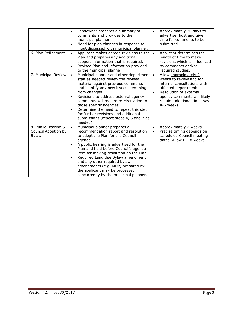|                                                            | Landowner prepares a summary of<br>$\bullet$<br>comments and provides to the<br>municipal planner.<br>Need for plan changes in response to<br>٠<br>input discussed with municipal planner.                                                                                                                                                                                                                                                                              |           | Approximately 30 days to<br>advertise, host and give<br>time for comments to be<br>submitted.                                                                                                                   |
|------------------------------------------------------------|-------------------------------------------------------------------------------------------------------------------------------------------------------------------------------------------------------------------------------------------------------------------------------------------------------------------------------------------------------------------------------------------------------------------------------------------------------------------------|-----------|-----------------------------------------------------------------------------------------------------------------------------------------------------------------------------------------------------------------|
| 6. Plan Refinement                                         | Applicant makes agreed revisions to the<br>$\bullet$<br>Plan and prepares any additional<br>support information that is required.<br>Revised Plan and information provided<br>٠<br>to the municipal planner.                                                                                                                                                                                                                                                            | ١.        | Applicant determines the<br>length of time to make<br>revisions which is influenced<br>by comments and/or<br>required studies.                                                                                  |
| 7. Municipal Review                                        | Municipal planner and other department  .<br>$\bullet$<br>staff as needed review the revised<br>material against previous comments<br>and identify any new issues stemming<br>from changes.<br>Revisions to address external agency<br>$\bullet$<br>comments will require re-circulation to<br>those specific agencies.<br>Determine the need to repeat this step<br>٠<br>for further revisions and additional<br>submissions (repeat steps 4, 6 and 7 as<br>needed).   |           | Allow approximately 2<br>weeks to review and for<br>internal consultations with<br>affected departments.<br>Resolution of external<br>agency comments will likely<br>require additional time, say<br>4-6 weeks. |
| 8. Public Hearing &<br>Council Adoption by<br><b>Bylaw</b> | Municipal planner prepares a<br>$\bullet$<br>recommendation report and resolution<br>to adopt the Plan for the Council<br>agenda.<br>A public hearing is advertised for the<br>$\bullet$<br>Plan and held before Council's agenda<br>item for making resolution on the Plan.<br>Required Land Use Bylaw amendment<br>٠<br>and any other required bylaw<br>amendments (e.g. MDP) prepared by<br>the applicant may be processed<br>concurrently by the municipal planner. | $\bullet$ | Approximately 2 weeks.<br>Precise timing depends on<br>scheduled Council meeting<br>dates. Allow $6 - 8$ weeks.                                                                                                 |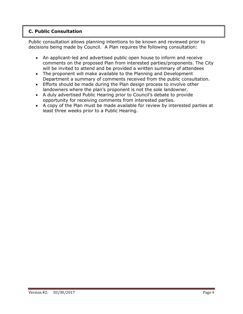# **C. Public Consultation**

Public consultation allows planning intentions to be known and reviewed prior to decisions being made by Council. A Plan requires the following consultation:

- An applicant-led and advertised public open house to inform and receive comments on the proposed Plan from interested parties/proponents. The City will be invited to attend and be provided a written summary of attendees
- The proponent will make available to the Planning and Development Department a summary of comments received from the public consultation.
- Efforts should be made during the Plan design process to involve other landowners where the plan's proponent is not the sole landowner.
- A duly advertised Public Hearing prior to Council's debate to provide opportunity for receiving comments from interested parties.
- A copy of the Plan must be made available for review by interested parties at least three weeks prior to a Public Hearing.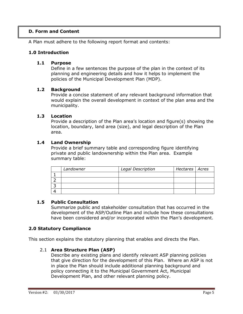# **D. Form and Content**

A Plan must adhere to the following report format and contents:

# **1.0 Introduction**

#### **1.1 Purpose**

Define in a few sentences the purpose of the plan in the context of its planning and engineering details and how it helps to implement the policies of the Municipal Development Plan (MDP).

#### **1.2 Background**

Provide a concise statement of any relevant background information that would explain the overall development in context of the plan area and the municipality.

#### **1.3 Location**

Provide a description of the Plan area's location and figure(s) showing the location, boundary, land area (size), and legal description of the Plan area.

#### **1.4 Land Ownership**

Provide a brief summary table and corresponding figure identifying private and public landownership within the Plan area. Example summary table:

| Landowner | Legal Description | Hectares   Acres |  |
|-----------|-------------------|------------------|--|
|           |                   |                  |  |
|           |                   |                  |  |
|           |                   |                  |  |
|           |                   |                  |  |

# **1.5 Public Consultation**

Summarize public and stakeholder consultation that has occurred in the development of the ASP/Outline Plan and include how these consultations have been considered and/or incorporated within the Plan's development.

# **2.0 Statutory Compliance**

This section explains the statutory planning that enables and directs the Plan.

# 2.1 **Area Structure Plan (ASP)**

Describe any existing plans and identify relevant ASP planning policies that give direction for the development of this Plan. Where an ASP is not in place the Plan should include additional planning background and policy connecting it to the Municipal Government Act, Municipal Development Plan, and other relevant planning policy.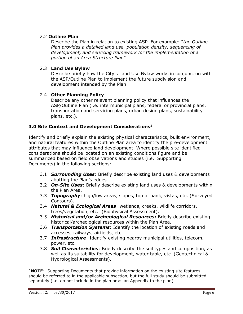# 2.2 **Outline Plan**

Describe the Plan in relation to existing ASP. For example: "*the Outline Plan provides a detailed land use, population density, sequencing of development, and servicing framework for the implementation of a portion of an Area Structure Plan*".

# 2.3 **Land Use Bylaw**

Describe briefly how the City's Land Use Bylaw works in conjunction with the ASP/Outline Plan to implement the future subdivision and development intended by the Plan.

# 2.4 **Other Planning Policy**

Describe any other relevant planning policy that influences the ASP/Outline Plan (i.e. intermunicipal plans, federal or provincial plans, transportation and servicing plans, urban design plans, sustainability plans, etc.).

# **3.0 Site Context and Development Considerations**<sup>2</sup>

Identify and briefly explain the existing physical characteristics, built environment, and natural features within the Outline Plan area to identify the pre-development attributes that may influence land development. Where possible site identified considerations should be located on an existing conditions figure and be summarized based on field observations and studies (i.e. Supporting Documents) in the following sections:

- 3.1 *Surrounding Uses*: Briefly describe existing land uses & developments abutting the Plan's edges.
- 3.2 *On-Site Uses*: Briefly describe existing land uses & developments within the Plan Area.
- 3.3 *Topography*: high/low areas, slopes, top of bank, vistas, etc. (Surveyed Contours).
- 3.4 *Natural & Ecological Areas*: wetlands, creeks, wildlife corridors, trees/vegetation, etc. (Biophysical Assessment).
- 3.5 *Historical and/or Archeological Resources:* Briefly describe existing historical/archeological resources within the Plan Area.
- 3.6 *Transportation Systems*: Identify the location of existing roads and accesses, railways, airfields, etc.
- 3.7 *Infrastructure*: Identify existing nearby municipal utilities, telecom, power, etc.
- 3.8 *Soil Characteristics*: Briefly describe the soil types and composition, as well as its suitability for development, water table, etc. (Geotechnical & Hydrological Assessments).

l

<sup>2</sup> **NOTE**: Supporting Documents that provide information on the existing site features should be referred to in the applicable subsection, but the full study should be submitted separately (i.e. do not include in the plan or as an Appendix to the plan).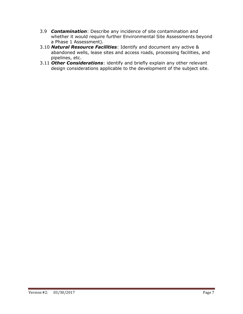- 3.9 *Contamination*: Describe any incidence of site contamination and whether it would require further Environmental Site Assessments beyond a Phase 1 Assessment).
- 3.10 *Natural Resource Facilities*: Identify and document any active & abandoned wells, lease sites and access roads, processing facilities, and pipelines, etc.
- 3.11 *Other Considerations*: identify and briefly explain any other relevant design considerations applicable to the development of the subject site.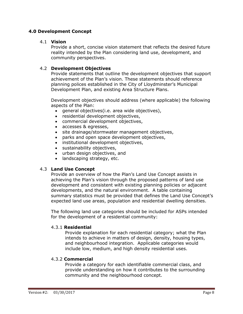# **4.0 Development Concept**

#### 4.1 **Vision**

Provide a short, concise vision statement that reflects the desired future reality intended by the Plan considering land use, development, and community perspectives.

# 4.2 **Development Objectives**

Provide statements that outline the development objectives that support achievement of the Plan's vision. These statements should reference planning polices established in the City of Lloydminster's Municipal Development Plan, and existing Area Structure Plans.

Development objectives should address (where applicable) the following aspects of the Plan:

- general objectives(i.e. area wide objectives),
- residential development objectives,
- commercial development objectives,
- accesses & egresses,
- site drainage/stormwater management objectives,
- parks and open space development objectives,
- institutional development objectives,
- sustainability objectives,
- urban design objectives, and
- landscaping strategy, etc.

#### 4.3 **Land Use Concept**

Provide an overview of how the Plan's Land Use Concept assists in achieving the Plan's vision through the proposed patterns of land use development and consistent with existing planning policies or adjacent developments, and the natural environment. A table containing summary statistics must be provided that defines the Land Use Concept's expected land use areas, population and residential dwelling densities.

The following land use categories should be included for ASPs intended for the development of a residential community:

#### 4.3.1 **Residential**

Provide explanation for each residential category; what the Plan intends to achieve in matters of design, density, housing types, and neighbourhood integration. Applicable categories would include low, medium, and high density residential uses.

#### 4.3.2 **Commercial**

Provide a category for each identifiable commercial class, and provide understanding on how it contributes to the surrounding community and the neighbourhood concept.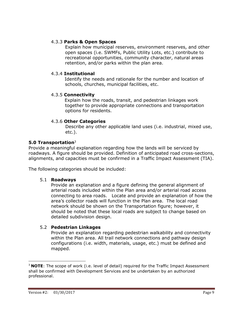# 4.3.3 **Parks & Open Spaces**

Explain how municipal reserves, environment reserves, and other open spaces (i.e. SWMFs, Public Utility Lots, etc.) contribute to recreational opportunities, community character, natural areas retention, and/or parks within the plan area.

# 4.3.4 **Institutional**

Identify the needs and rationale for the number and location of schools, churches, municipal facilities, etc.

# 4.3.5 **Connectivity**

Explain how the roads, transit, and pedestrian linkages work together to provide appropriate connections and transportation options for residents.

# 4.3.6 **Other Categories**

Describe any other applicable land uses (i.e. industrial, mixed use, etc.).

# **5.0 Transportation**<sup>3</sup>

Provide a meaningful explanation regarding how the lands will be serviced by roadways. A figure should be provided. Definition of anticipated road cross-sections, alignments, and capacities must be confirmed in a Traffic Impact Assessment (TIA).

The following categories should be included:

# 5.1 **Roadways**

Provide an explanation and a figure defining the general alignment of arterial roads included within the Plan area and/or arterial road access connecting to area roads. Locate and provide an explanation of how the area's collector roads will function in the Plan area. The local road network should be shown on the Transportation figure; however, it should be noted that these local roads are subject to change based on detailed subdivision design.

# 5.2 **Pedestrian Linkages**

Provide an explanation regarding pedestrian walkability and connectivity within the Plan area. All trail network connections and pathway design configurations (i.e. width, materials, usage, etc.) must be defined and mapped.

 $\overline{a}$ 

<sup>&</sup>lt;sup>3</sup> **NOTE**: The scope of work (i.e. level of detail) required for the Traffic Impact Assessment shall be confirmed with Development Services and be undertaken by an authorized professional.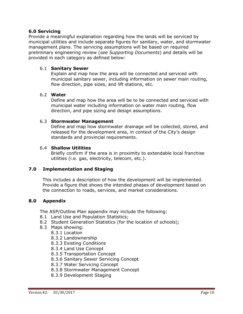#### **6.0 Servicing**

Provide a meaningful explanation regarding how the lands will be serviced by municipal utilities and include separate figures for sanitary, water, and stormwater management plans. The servicing assumptions will be based on required preliminary engineering review (*see Supporting Documents*) and details will be provided in each category as defined below:

#### 6.1 **Sanitary Sewer**

Explain and map how the area will be connected and serviced with municipal sanitary sewer, including information on sewer main routing, flow direction, pipe sizes, and lift stations, etc.

#### 6.2 **Water**

Define and map how the area will be to be connected and serviced with municipal water including information on water main routing, flow direction, and pipe sizing and design assumptions.

#### 6.3 **Stormwater Management**

Define and map how stormwater drainage will be collected, stored, and released for the development area, in context of the City's design standards and provincial requirements.

#### 6.4 **Shallow Utilities**

Briefly confirm if the area is in proximity to extendable local franchise utilities (i.e. gas, electricity, telecom, etc.).

# **7.0 Implementation and Staging**

This includes a description of how the development will be implemented. Provide a figure that shows the intended phases of development based on the connection to roads, services, and market considerations.

# **8.0 Appendix**

The ASP/Outline Plan appendix may include the following:

- 8.1 Land Use and Population Statistics;
- 8.2 Student Generation Statistics (for the location of schools);
- 8.3 Maps showing:
	- 8.3.1 Location
	- 8.3.2 Landownership
	- 8.3.3 Existing Conditions
	- 8.3.4 Land Use Concept
	- 8.3.5 Transportation Concept
	- 8.3.6 Sanitary Sewer Servicing Concept
	- 8.3.7 Water Servicing Concept
	- 8.3.8 Stormwater Management Concept
	- 8.3.9 Development Staging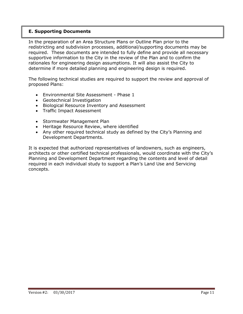# **E. Supporting Documents**

In the preparation of an Area Structure Plans or Outline Plan prior to the redistricting and subdivision processes, additional/supporting documents may be required. These documents are intended to fully define and provide all necessary supportive information to the City in the review of the Plan and to confirm the rationales for engineering design assumptions. It will also assist the City to determine if more detailed planning and engineering design is required.

The following technical studies are required to support the review and approval of proposed Plans:

- Environmental Site Assessment Phase 1
- Geotechnical Investigation
- Biological Resource Inventory and Assessment
- Traffic Impact Assessment
- Stormwater Management Plan
- Heritage Resource Review, where identified
- Any other required technical study as defined by the City's Planning and Development Departments.

It is expected that authorized representatives of landowners, such as engineers, architects or other certified technical professionals, would coordinate with the City's Planning and Development Department regarding the contents and level of detail required in each individual study to support a Plan's Land Use and Servicing concepts.